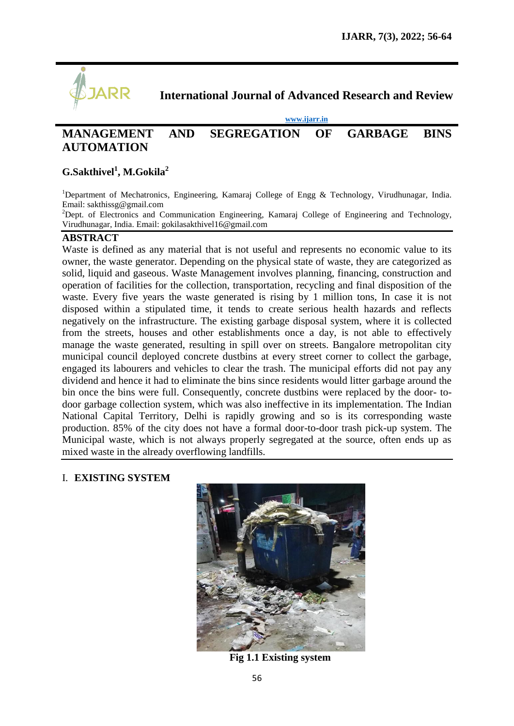

**International Journal of Advanced Research and Review**

**[www.ijarr.in](http://www.ijarr.in/)**

# **MANAGEMENT AND SEGREGATION OF GARBAGE BINS AUTOMATION**

## **G.Sakthivel<sup>1</sup> , M.Gokila<sup>2</sup>**

<sup>1</sup>Department of Mechatronics, Engineering, Kamaraj College of Engg & Technology, Virudhunagar, India. Email: [sakthissg@gmail.com](mailto:sakthissg@gmail.com)

 $2$ Dept. of Electronics and Communication Engineering, Kamaraj College of Engineering and Technology, Virudhunagar, India. Email: [gokilasakthivel16@gmail.com](mailto:gokilasakthivel16@gmail.com)

#### **ABSTRACT**

Waste is defined as any material that is not useful and represents no economic value to its owner, the waste generator. Depending on the physical state of waste, they are categorized as solid, liquid and gaseous. Waste Management involves planning, financing, construction and operation of facilities for the collection, transportation, recycling and final disposition of the waste. Every five years the waste generated is rising by 1 million tons, In case it is not disposed within a stipulated time, it tends to create serious health hazards and reflects negatively on the infrastructure. The existing garbage disposal system, where it is collected from the streets, houses and other establishments once a day, is not able to effectively manage the waste generated, resulting in spill over on streets. Bangalore metropolitan city municipal council deployed concrete dustbins at every street corner to collect the garbage, engaged its labourers and vehicles to clear the trash. The municipal efforts did not pay any dividend and hence it had to eliminate the bins since residents would litter garbage around the bin once the bins were full. Consequently, concrete dustbins were replaced by the door- todoor garbage collection system, which was also ineffective in its implementation. The Indian National Capital Territory, Delhi is rapidly growing and so is its corresponding waste production. 85% of the city does not have a formal door-to-door trash pick-up system. The Municipal waste, which is not always properly segregated at the source, often ends up as mixed waste in the already overflowing landfills.

### I. **EXISTING SYSTEM**



**Fig 1.1 Existing system**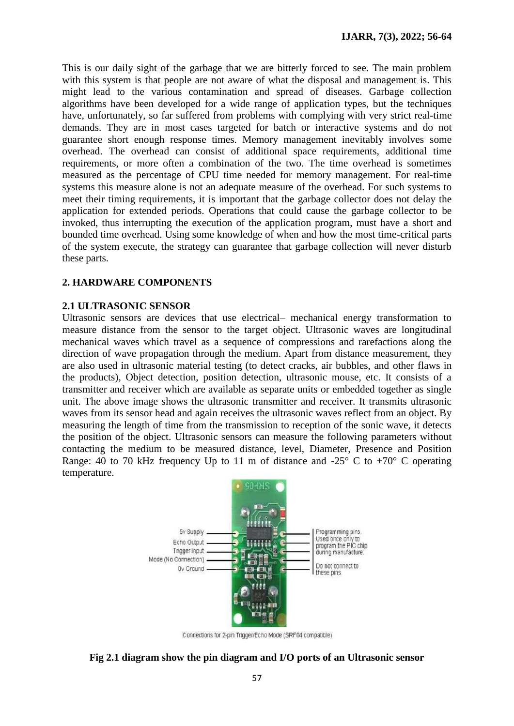This is our daily sight of the garbage that we are bitterly forced to see. The main problem with this system is that people are not aware of what the disposal and management is. This might lead to the various contamination and spread of diseases. Garbage collection algorithms have been developed for a wide range of application types, but the techniques have, unfortunately, so far suffered from problems with complying with very strict real-time demands. They are in most cases targeted for batch or interactive systems and do not guarantee short enough response times. Memory management inevitably involves some overhead. The overhead can consist of additional space requirements, additional time requirements, or more often a combination of the two. The time overhead is sometimes measured as the percentage of CPU time needed for memory management. For real-time systems this measure alone is not an adequate measure of the overhead. For such systems to meet their timing requirements, it is important that the garbage collector does not delay the application for extended periods. Operations that could cause the garbage collector to be invoked, thus interrupting the execution of the application program, must have a short and bounded time overhead. Using some knowledge of when and how the most time-critical parts of the system execute, the strategy can guarantee that garbage collection will never disturb these parts.

### **2. HARDWARE COMPONENTS**

### **2.1 ULTRASONIC SENSOR**

Ultrasonic sensors are devices that use electrical– mechanical energy transformation to measure distance from the sensor to the target object. Ultrasonic waves are longitudinal mechanical waves which travel as a sequence of compressions and rarefactions along the direction of wave propagation through the medium. Apart from distance measurement, they are also used in ultrasonic material testing (to detect cracks, air bubbles, and other flaws in the products), Object detection, position detection, ultrasonic mouse, etc. It consists of a transmitter and receiver which are available as separate units or embedded together as single unit. The above image shows the ultrasonic transmitter and receiver. It transmits ultrasonic waves from its sensor head and again receives the ultrasonic waves reflect from an object. By measuring the length of time from the transmission to reception of the sonic wave, it detects the position of the object. Ultrasonic sensors can measure the following parameters without contacting the medium to be measured distance, level, Diameter, Presence and Position Range: 40 to 70 kHz frequency Up to 11 m of distance and -25 $\degree$  C to +70 $\degree$  C operating temperature.



Connections for 2-pin Trigger/Echo Mode (SRF04 compatible)

### **Fig 2.1 diagram show the pin diagram and I/O ports of an Ultrasonic sensor**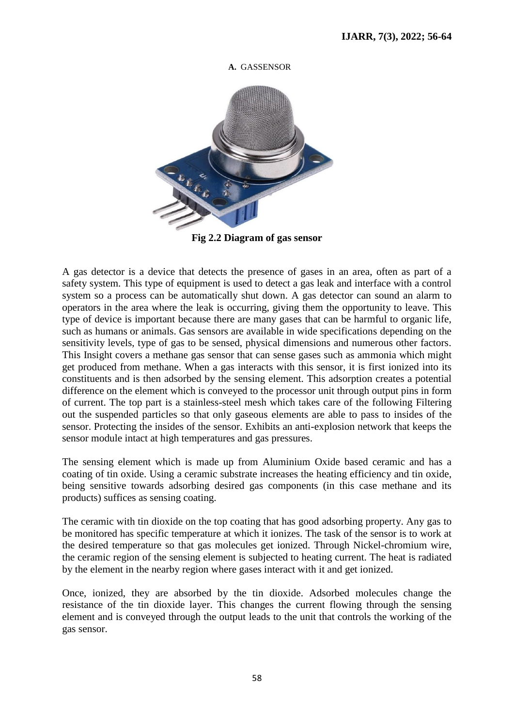

**A.** GASSENSOR

**Fig 2.2 Diagram of gas sensor**

A gas detector is a device that detects the presence of gases in an area, often as part of a safety system. This type of equipment is used to detect a gas leak and interface with a control system so a process can be automatically shut down. A gas detector can sound an alarm to operators in the area where the leak is occurring, giving them the opportunity to leave. This type of device is important because there are many gases that can be harmful to organic life, such as humans or animals. Gas sensors are available in wide specifications depending on the sensitivity levels, type of gas to be sensed, physical dimensions and numerous other factors. This Insight covers a methane gas sensor that can sense gases such as ammonia which might get produced from methane. When a gas interacts with this sensor, it is first ionized into its constituents and is then adsorbed by the sensing element. This adsorption creates a potential difference on the element which is conveyed to the processor unit through output pins in form of current. The top part is a stainless-steel mesh which takes care of the following Filtering out the suspended particles so that only gaseous elements are able to pass to insides of the sensor. Protecting the insides of the sensor. Exhibits an anti-explosion network that keeps the sensor module intact at high temperatures and gas pressures.

The sensing element which is made up from Aluminium Oxide based ceramic and has a coating of tin oxide. Using a ceramic substrate increases the heating efficiency and tin oxide, being sensitive towards adsorbing desired gas components (in this case methane and its products) suffices as sensing coating.

The ceramic with tin dioxide on the top coating that has good adsorbing property. Any gas to be monitored has specific temperature at which it ionizes. The task of the sensor is to work at the desired temperature so that gas molecules get ionized. Through Nickel-chromium wire, the ceramic region of the sensing element is subjected to heating current. The heat is radiated by the element in the nearby region where gases interact with it and get ionized.

Once, ionized, they are absorbed by the tin dioxide. Adsorbed molecules change the resistance of the tin dioxide layer. This changes the current flowing through the sensing element and is conveyed through the output leads to the unit that controls the working of the gas sensor.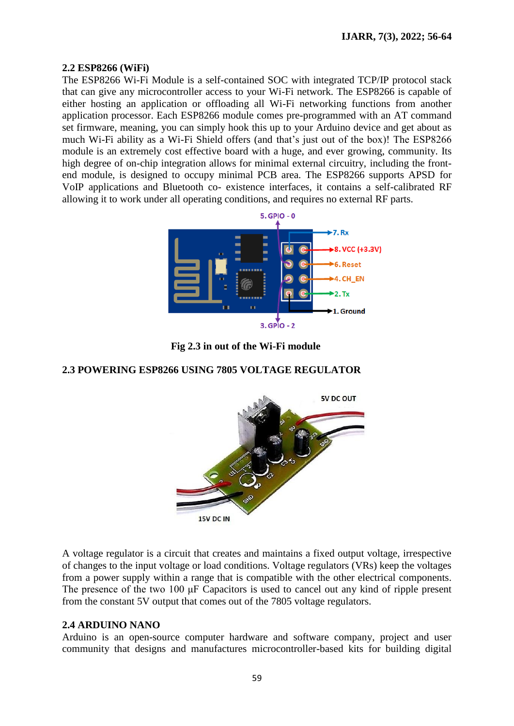### **2.2 ESP8266 (WiFi)**

The ESP8266 Wi-Fi Module is a self-contained SOC with integrated TCP/IP protocol stack that can give any microcontroller access to your Wi-Fi network. The ESP8266 is capable of either hosting an application or offloading all Wi-Fi networking functions from another application processor. Each ESP8266 module comes pre-programmed with an AT command set firmware, meaning, you can simply hook this up to your Arduino device and get about as much Wi-Fi ability as a Wi-Fi Shield offers (and that's just out of the box)! The ESP8266 module is an extremely cost effective board with a huge, and ever growing, community. Its high degree of on-chip integration allows for minimal external circuitry, including the frontend module, is designed to occupy minimal PCB area. The ESP8266 supports APSD for VoIP applications and Bluetooth co- existence interfaces, it contains a self-calibrated RF allowing it to work under all operating conditions, and requires no external RF parts.



**Fig 2.3 in out of the Wi-Fi module**

### **2.3 POWERING ESP8266 USING 7805 VOLTAGE REGULATOR**



A voltage regulator is a circuit that creates and maintains a fixed output voltage, irrespective of changes to the input voltage or load conditions. Voltage regulators (VRs) keep the voltages from a power supply within a range that is compatible with the other electrical components. The presence of the two 100 μF Capacitors is used to cancel out any kind of ripple present from the constant 5V output that comes out of the 7805 voltage regulators.

### **2.4 ARDUINO NANO**

Arduino is an open-source computer hardware and software company, project and user community that designs and manufactures microcontroller-based kits for building digital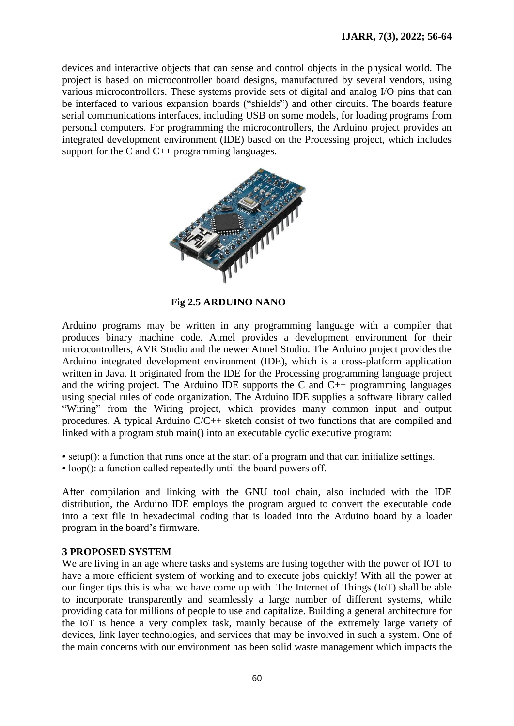devices and interactive objects that can sense and control objects in the physical world. The project is based on microcontroller board designs, manufactured by several vendors, using various microcontrollers. These systems provide sets of digital and analog I/O pins that can be interfaced to various expansion boards ("shields") and other circuits. The boards feature serial communications interfaces, including USB on some models, for loading programs from personal computers. For programming the microcontrollers, the Arduino project provides an integrated development environment (IDE) based on the Processing project, which includes support for the C and C++ programming languages.



**Fig 2.5 ARDUINO NANO**

Arduino programs may be written in any programming language with a compiler that produces binary machine code. Atmel provides a development environment for their microcontrollers, AVR Studio and the newer Atmel Studio. The Arduino project provides the Arduino integrated development environment (IDE), which is a cross-platform application written in Java. It originated from the IDE for the Processing programming language project and the wiring project. The Arduino IDE supports the C and C++ programming languages using special rules of code organization. The Arduino IDE supplies a software library called "Wiring" from the Wiring project, which provides many common input and output procedures. A typical Arduino C/C++ sketch consist of two functions that are compiled and linked with a program stub main() into an executable cyclic executive program:

- setup(): a function that runs once at the start of a program and that can initialize settings.
- loop(): a function called repeatedly until the board powers off.

After compilation and linking with the GNU tool chain, also included with the IDE distribution, the Arduino IDE employs the program argued to convert the executable code into a text file in hexadecimal coding that is loaded into the Arduino board by a loader program in the board's firmware.

### **3 PROPOSED SYSTEM**

We are living in an age where tasks and systems are fusing together with the power of IOT to have a more efficient system of working and to execute jobs quickly! With all the power at our finger tips this is what we have come up with. The Internet of Things (IoT) shall be able to incorporate transparently and seamlessly a large number of different systems, while providing data for millions of people to use and capitalize. Building a general architecture for the IoT is hence a very complex task, mainly because of the extremely large variety of devices, link layer technologies, and services that may be involved in such a system. One of the main concerns with our environment has been solid waste management which impacts the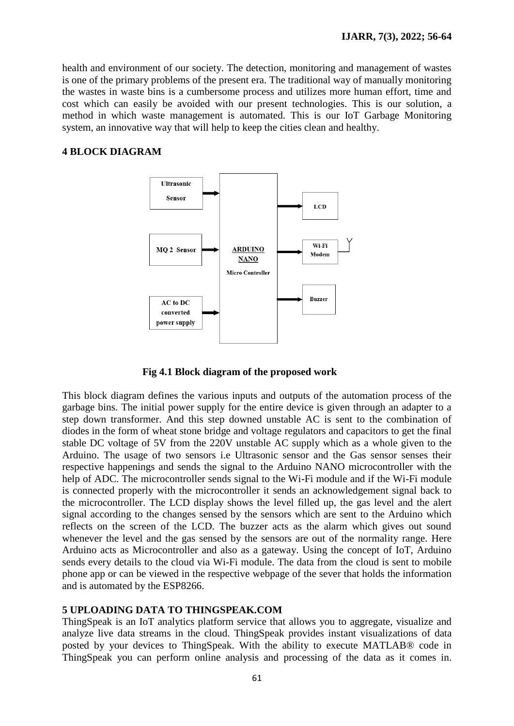health and environment of our society. The detection, monitoring and management of wastes is one of the primary problems of the present era. The traditional way of manually monitoring the wastes in waste bins is a cumbersome process and utilizes more human effort, time and cost which can easily be avoided with our present technologies. This is our solution, a method in which waste management is automated. This is our IoT Garbage Monitoring system, an innovative way that will help to keep the cities clean and healthy.

### **4 BLOCK DIAGRAM**



**Fig 4.1 Block diagram of the proposed work**

This block diagram defines the various inputs and outputs of the automation process of the garbage bins. The initial power supply for the entire device is given through an adapter to a step down transformer. And this step downed unstable AC is sent to the combination of diodes in the form of wheat stone bridge and voltage regulators and capacitors to get the final stable DC voltage of 5V from the 220V unstable AC supply which as a whole given to the Arduino. The usage of two sensors i.e Ultrasonic sensor and the Gas sensor senses their respective happenings and sends the signal to the Arduino NANO microcontroller with the help of ADC. The microcontroller sends signal to the Wi-Fi module and if the Wi-Fi module is connected properly with the microcontroller it sends an acknowledgement signal back to the microcontroller. The LCD display shows the level filled up, the gas level and the alert signal according to the changes sensed by the sensors which are sent to the Arduino which reflects on the screen of the LCD. The buzzer acts as the alarm which gives out sound whenever the level and the gas sensed by the sensors are out of the normality range. Here Arduino acts as Microcontroller and also as a gateway. Using the concept of IoT, Arduino sends every details to the cloud via Wi-Fi module. The data from the cloud is sent to mobile phone app or can be viewed in the respective webpage of the sever that holds the information and is automated by the ESP8266.

### **5 UPLOADING DATA TO THINGSPEAK.COM**

ThingSpeak is an IoT analytics platform service that allows you to aggregate, visualize and analyze live data streams in the cloud. ThingSpeak provides instant visualizations of data posted by your devices to ThingSpeak. With the ability to execute MATLAB® code in ThingSpeak you can perform online analysis and processing of the data as it comes in.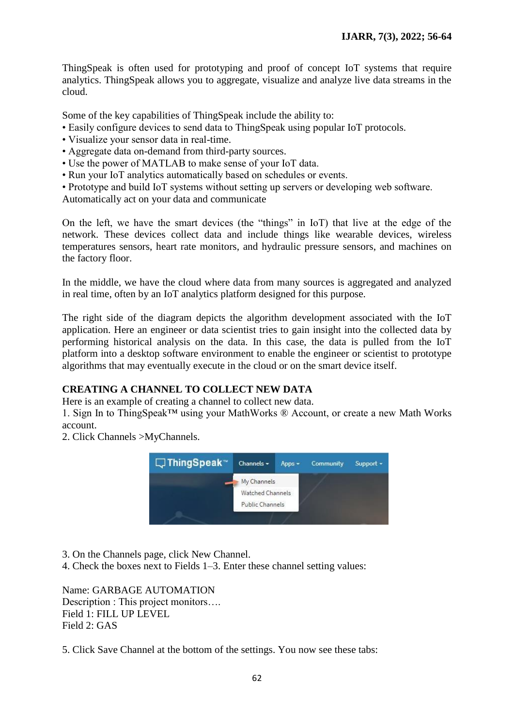ThingSpeak is often used for prototyping and proof of concept IoT systems that require analytics. ThingSpeak allows you to aggregate, visualize and analyze live data streams in the cloud.

Some of the key capabilities of ThingSpeak include the ability to:

- Easily configure devices to send data to ThingSpeak using popular IoT protocols.
- Visualize your sensor data in real-time.
- Aggregate data on-demand from third-party sources.
- Use the power of MATLAB to make sense of your IoT data.
- Run your IoT analytics automatically based on schedules or events.
- Prototype and build IoT systems without setting up servers or developing web software.

Automatically act on your data and communicate

On the left, we have the smart devices (the "things" in IoT) that live at the edge of the network. These devices collect data and include things like wearable devices, wireless temperatures sensors, heart rate monitors, and hydraulic pressure sensors, and machines on the factory floor.

In the middle, we have the cloud where data from many sources is aggregated and analyzed in real time, often by an IoT analytics platform designed for this purpose.

The right side of the diagram depicts the algorithm development associated with the IoT application. Here an engineer or data scientist tries to gain insight into the collected data by performing historical analysis on the data. In this case, the data is pulled from the IoT platform into a desktop software environment to enable the engineer or scientist to prototype algorithms that may eventually execute in the cloud or on the smart device itself.

### **CREATING A CHANNEL TO COLLECT NEW DATA**

Here is an example of creating a channel to collect new data.

1. Sign In to ThingSpeak™ using your MathWorks ® Account, or create a new Math Works account.

2. Click Channels >MyChannels.



3. On the Channels page, click New Channel.

4. Check the boxes next to Fields 1–3. Enter these channel setting values:

Name: GARBAGE AUTOMATION Description : This project monitors.... Field 1: FILL UP LEVEL Field 2: GAS

5. Click Save Channel at the bottom of the settings. You now see these tabs: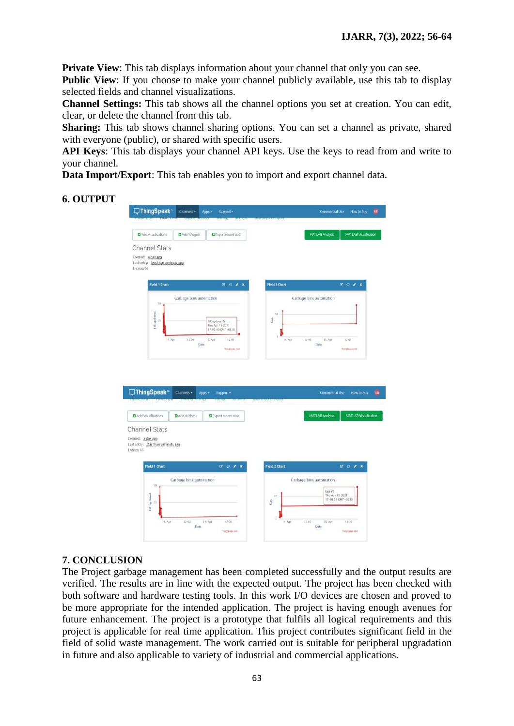**Private View**: This tab displays information about your channel that only you can see.

**Public View**: If you choose to make your channel publicly available, use this tab to display selected fields and channel visualizations.

**Channel Settings:** This tab shows all the channel options you set at creation. You can edit, clear, or delete the channel from this tab.

**Sharing:** This tab shows channel sharing options. You can set a channel as private, shared with everyone (public), or shared with specific users.

**API Keys**: This tab displays your channel API keys. Use the keys to read from and write to your channel.

**Data Import/Export**: This tab enables you to import and export channel data.

### **6. OUTPUT**

|                                                          |                         |                                      | 2010/11/2021 17:20:20:11     |                                                |
|----------------------------------------------------------|-------------------------|--------------------------------------|------------------------------|------------------------------------------------|
| Add Visualizations                                       | Add Widgets             | <b>C</b> Export recent data          |                              | MATLAB Visualization<br>MATLAB Analysis        |
| <b>Channel Stats</b>                                     |                         |                                      |                              |                                                |
| Created: a.day.ago<br>Last entry: less than a minute ago |                         |                                      |                              |                                                |
| Entries: 66                                              |                         |                                      |                              |                                                |
| <b>Field 1 Chart</b>                                     |                         | $B$ $D$ $A$ $X$                      | <b>Field 2 Chart</b>         | $B$ $D$ $A$ $X$                                |
|                                                          | Garbage bins automation |                                      |                              | Garbage bins automation                        |
| 50                                                       |                         |                                      |                              |                                                |
| Final de III<br>$\frac{1}{2}$                            |                         | Fill up level 5                      | sa<br>ŝ                      |                                                |
|                                                          |                         | The Apr 15 2021<br>17.07.40 GMT+0530 |                              |                                                |
| 14, Apr                                                  | 12.00                   | 12:00<br>15. Apr                     | $\theta$<br>14. Apr<br>12.00 | 15. Apr<br>12:00                               |
|                                                          | Date                    | ThingSpeak.com                       |                              | Date<br>Теогдариях сот-                        |
|                                                          |                         |                                      |                              |                                                |
|                                                          |                         |                                      |                              |                                                |
| □ThingSpeak™                                             | Channels -              | Apps -<br>Support -                  |                              | <b>Commercial Use</b><br>How to Buy            |
| Add Visualizations                                       | Add Widgets             | <b>DExport recent data</b>           |                              | MATLAB Visualization<br><b>MATLAB Analysis</b> |
| <b>Channel Stats</b>                                     |                         |                                      |                              |                                                |
| Created: a.day.ago                                       |                         |                                      |                              |                                                |
| Last entry: less than a minute ago<br>Entries: 66        |                         |                                      |                              |                                                |
|                                                          |                         |                                      |                              |                                                |
| <b>Field 1 Chart</b>                                     |                         | $C$ $D$ $A$ $X$                      | <b>Field 2 Chart</b>         | $B$ $D$ $A$ $X$                                |
|                                                          | Garbage bins automation |                                      |                              | Garbage bins automation                        |
| 50                                                       |                         |                                      | 50                           | Gas:70<br>Thu Apr 15 2021                      |
| 25                                                       |                         |                                      | ŝ                            | 17.08.20 GMT+0530                              |
| Fill up level                                            |                         |                                      | `0                           |                                                |

### **7. CONCLUSION**

The Project garbage management has been completed successfully and the output results are verified. The results are in line with the expected output. The project has been checked with both software and hardware testing tools. In this work I/O devices are chosen and proved to be more appropriate for the intended application. The project is having enough avenues for future enhancement. The project is a prototype that fulfils all logical requirements and this project is applicable for real time application. This project contributes significant field in the field of solid waste management. The work carried out is suitable for peripheral upgradation in future and also applicable to variety of industrial and commercial applications.